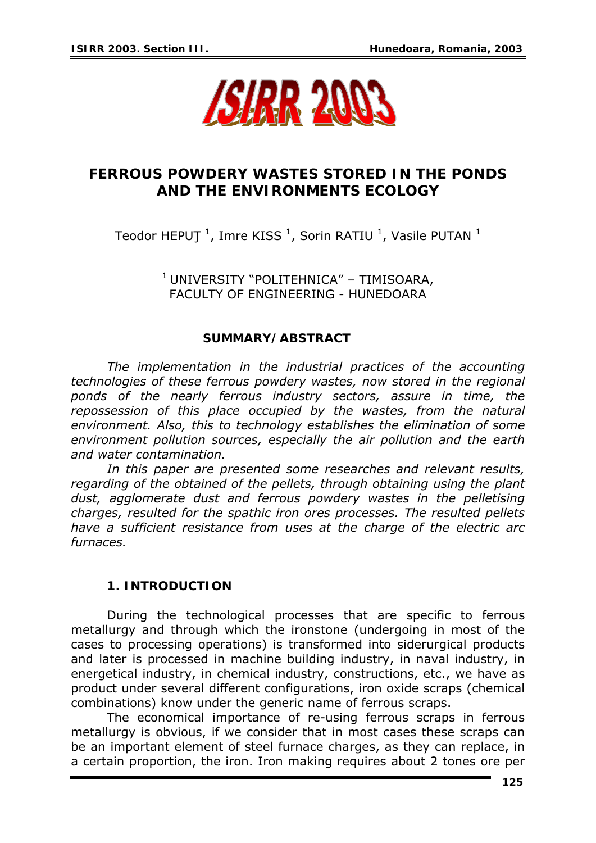

# **FERROUS POWDERY WASTES STORED IN THE PONDS AND THE ENVIRONMENTS ECOLOGY**

Teodor HEPUT  $^1$ , Imre KISS  $^1$ , Sorin RATIU  $^1$ , Vasile PUTAN  $^1$ 

1 UNIVERSITY "POLITEHNICA" – TIMISOARA, FACULTY OF ENGINEERING - HUNEDOARA

#### **SUMMARY/ABSTRACT**

*The implementation in the industrial practices of the accounting technologies of these ferrous powdery wastes, now stored in the regional ponds of the nearly ferrous industry sectors, assure in time, the repossession of this place occupied by the wastes, from the natural environment. Also, this to technology establishes the elimination of some environment pollution sources, especially the air pollution and the earth and water contamination.* 

*In this paper are presented some researches and relevant results, regarding of the obtained of the pellets, through obtaining using the plant*  dust, agglomerate dust and ferrous powdery wastes in the pelletising *charges, resulted for the spathic iron ores processes. The resulted pellets have a sufficient resistance from uses at the charge of the electric arc furnaces.* 

## **1. INTRODUCTION**

During the technological processes that are specific to ferrous metallurgy and through which the ironstone (undergoing in most of the cases to processing operations) is transformed into siderurgical products and later is processed in machine building industry, in naval industry, in energetical industry, in chemical industry, constructions, etc., we have as product under several different configurations, iron oxide scraps (chemical combinations) know under the generic name of ferrous scraps.

The economical importance of re-using ferrous scraps in ferrous metallurgy is obvious, if we consider that in most cases these scraps can be an important element of steel furnace charges, as they can replace, in a certain proportion, the iron. Iron making requires about 2 tones ore per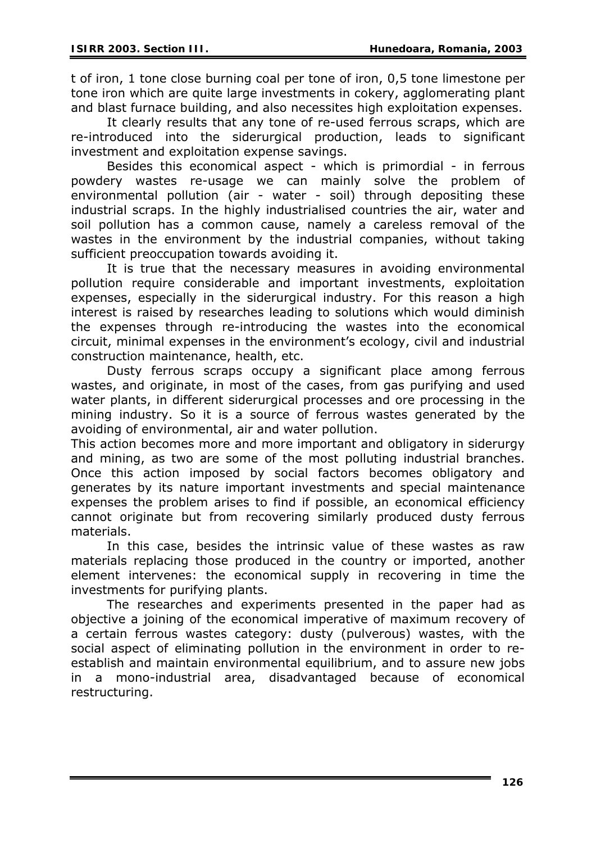t of iron, 1 tone close burning coal per tone of iron, 0,5 tone limestone per tone iron which are quite large investments in cokery, agglomerating plant and blast furnace building, and also necessites high exploitation expenses.

It clearly results that any tone of re-used ferrous scraps, which are re-introduced into the siderurgical production, leads to significant investment and exploitation expense savings.

Besides this economical aspect - which is primordial - in ferrous powdery wastes re-usage we can mainly solve the problem of environmental pollution (air - water - soil) through depositing these industrial scraps. In the highly industrialised countries the air, water and soil pollution has a common cause, namely a careless removal of the wastes in the environment by the industrial companies, without taking sufficient preoccupation towards avoiding it.

It is true that the necessary measures in avoiding environmental pollution require considerable and important investments, exploitation expenses, especially in the siderurgical industry. For this reason a high interest is raised by researches leading to solutions which would diminish the expenses through re-introducing the wastes into the economical circuit, minimal expenses in the environment's ecology, civil and industrial construction maintenance, health, etc.

Dusty ferrous scraps occupy a significant place among ferrous wastes, and originate, in most of the cases, from gas purifying and used water plants, in different siderurgical processes and ore processing in the mining industry. So it is a source of ferrous wastes generated by the avoiding of environmental, air and water pollution.

This action becomes more and more important and obligatory in siderurgy and mining, as two are some of the most polluting industrial branches. Once this action imposed by social factors becomes obligatory and generates by its nature important investments and special maintenance expenses the problem arises to find if possible, an economical efficiency cannot originate but from recovering similarly produced dusty ferrous materials.

 In this case, besides the intrinsic value of these wastes as raw materials replacing those produced in the country or imported, another element intervenes: the economical supply in recovering in time the investments for purifying plants.

The researches and experiments presented in the paper had as objective a joining of the economical imperative of maximum recovery of a certain ferrous wastes category: dusty (pulverous) wastes, with the social aspect of eliminating pollution in the environment in order to reestablish and maintain environmental equilibrium, and to assure new jobs in a mono-industrial area, disadvantaged because of economical restructuring.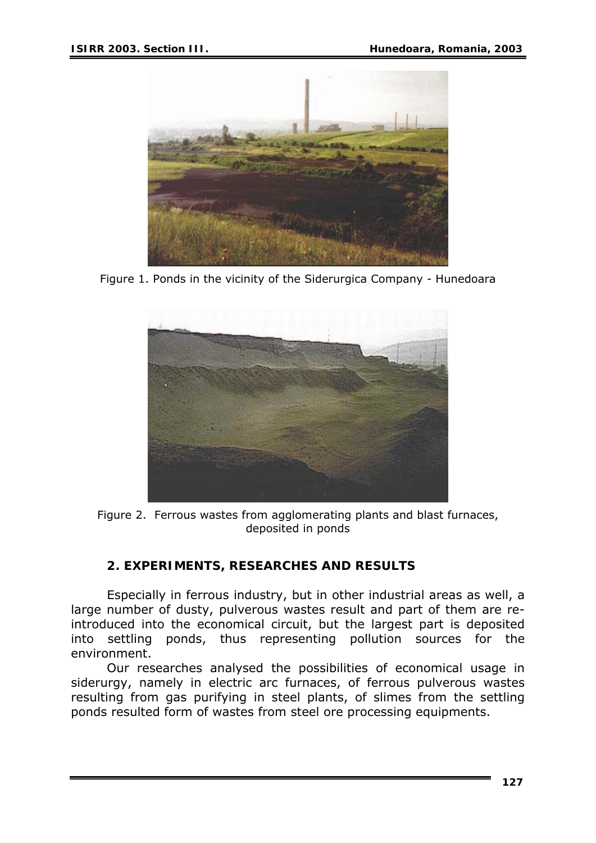

Figure 1. Ponds in the vicinity of the Siderurgica Company - Hunedoara



Figure 2. Ferrous wastes from agglomerating plants and blast furnaces, deposited in ponds

# **2. EXPERIMENTS, RESEARCHES AND RESULTS**

Especially in ferrous industry, but in other industrial areas as well, a large number of dusty, pulverous wastes result and part of them are reintroduced into the economical circuit, but the largest part is deposited into settling ponds, thus representing pollution sources for the environment.

Our researches analysed the possibilities of economical usage in siderurgy, namely in electric arc furnaces, of ferrous pulverous wastes resulting from gas purifying in steel plants, of slimes from the settling ponds resulted form of wastes from steel ore processing equipments.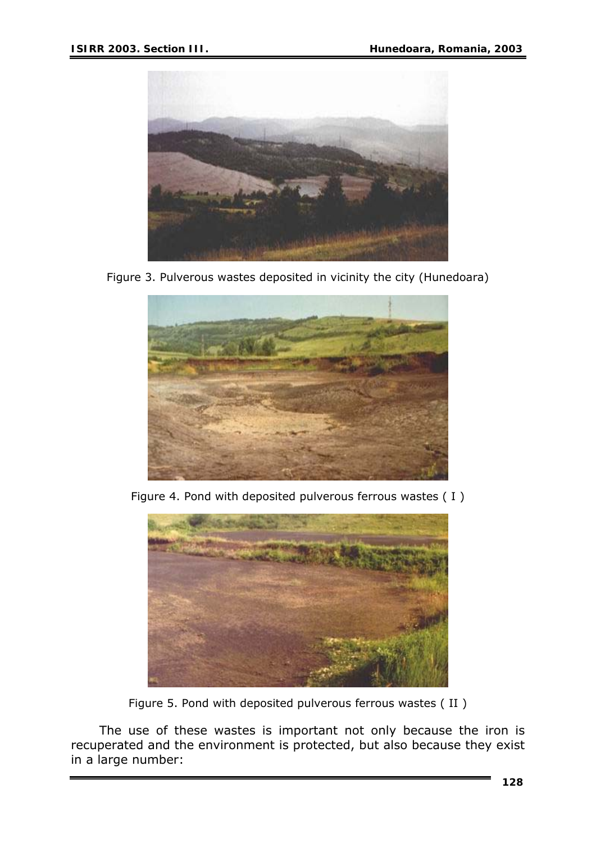

Figure 3. Pulverous wastes deposited in vicinity the city (Hunedoara)



Figure 4. Pond with deposited pulverous ferrous wastes ( I )



Figure 5. Pond with deposited pulverous ferrous wastes ( II )

The use of these wastes is important not only because the iron is recuperated and the environment is protected, but also because they exist in a large number: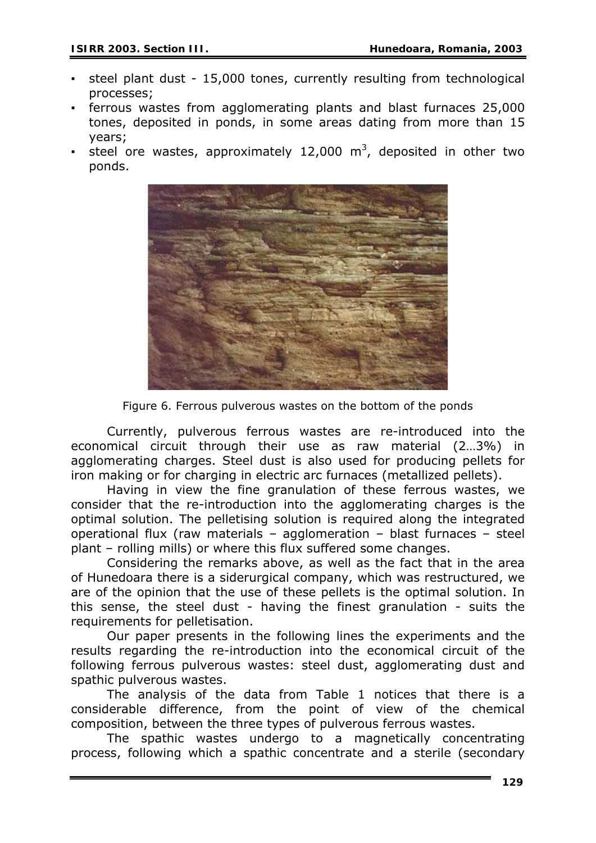- steel plant dust 15,000 tones, currently resulting from technological processes;
- ferrous wastes from agglomerating plants and blast furnaces 25,000 tones, deposited in ponds, in some areas dating from more than 15 years;
- **EXECTE Steel ore wastes, approximately 12,000 m<sup>3</sup>, deposited in other two** ponds.



Figure 6. Ferrous pulverous wastes on the bottom of the ponds

Currently, pulverous ferrous wastes are re-introduced into the economical circuit through their use as raw material (2…3%) in agglomerating charges. Steel dust is also used for producing pellets for iron making or for charging in electric arc furnaces (metallized pellets).

Having in view the fine granulation of these ferrous wastes, we consider that the re-introduction into the agglomerating charges is the optimal solution. The pelletising solution is required along the integrated operational flux (raw materials – agglomeration – blast furnaces – steel plant – rolling mills) or where this flux suffered some changes.

Considering the remarks above, as well as the fact that in the area of Hunedoara there is a siderurgical company, which was restructured, we are of the opinion that the use of these pellets is the optimal solution. In this sense, the steel dust - having the finest granulation - suits the requirements for pelletisation.

Our paper presents in the following lines the experiments and the results regarding the re-introduction into the economical circuit of the following ferrous pulverous wastes: steel dust, agglomerating dust and spathic pulverous wastes.

The analysis of the data from Table 1 notices that there is a considerable difference, from the point of view of the chemical composition, between the three types of pulverous ferrous wastes.

The spathic wastes undergo to a magnetically concentrating process, following which a spathic concentrate and a sterile (secondary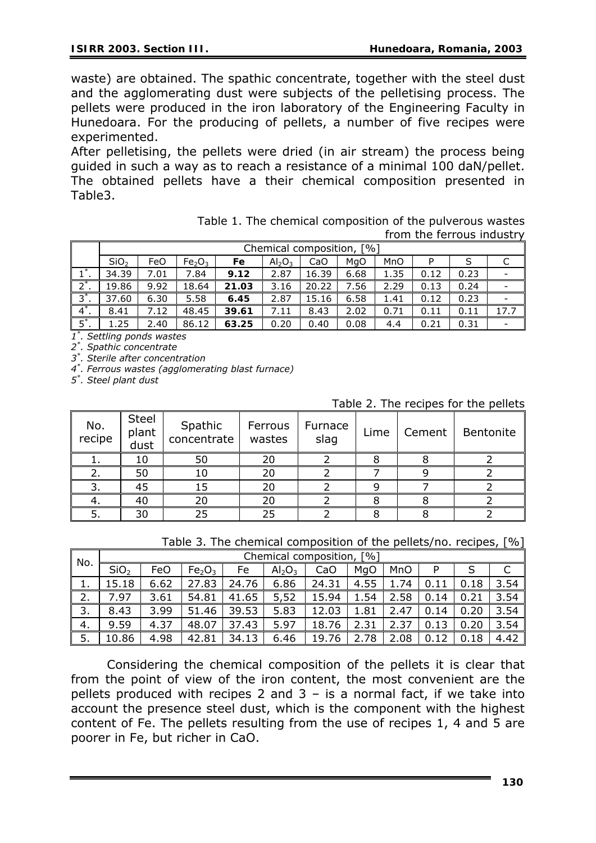waste) are obtained. The spathic concentrate, together with the steel dust and the agglomerating dust were subjects of the pelletising process. The pellets were produced in the iron laboratory of the Engineering Faculty in Hunedoara. For the producing of pellets, a number of five recipes were experimented.

After pelletising, the pellets were dried (in air stream) the process being guided in such a way as to reach a resistance of a minimal 100 daN/pellet. The obtained pellets have a their chemical composition presented in Table3.

> Table 1. The chemical composition of the pulverous wastes from the ferrous industry

|                                      | [%<br>Chemical composition, |      |                                |       |                                |       |      |      |      |      |      |
|--------------------------------------|-----------------------------|------|--------------------------------|-------|--------------------------------|-------|------|------|------|------|------|
|                                      | SiO <sub>2</sub>            | FeO  | Fe <sub>2</sub> O <sub>3</sub> | Fe    | Al <sub>2</sub> O <sub>3</sub> | CaO   | MgO  | MnO  |      |      |      |
|                                      | 34.39                       | 7.01 | 7.84                           | 9.12  | 2.87                           | 16.39 | 6.68 | 1.35 | 0.12 | 0.23 |      |
| $2^*$ .                              | 19.86                       | 9.92 | 18.64                          | 21.03 | 3.16                           | 20.22 | 7.56 | 2.29 | 0.13 | 0.24 |      |
| $3^*$                                | 37.60                       | 6.30 | 5.58                           | 6.45  | 2.87                           | 15.16 | 6.58 | 1.41 | 0.12 | 0.23 |      |
| $4^*$ .                              | 8.41                        | 7.12 | 48.45                          | 39.61 | 7.11                           | 8.43  | 2.02 | 0.71 | 0.11 | 0.11 | 17.7 |
| $\overline{5}^*$ .<br>$\star$ $\sim$ | 1.25                        | 2.40 | 86.12                          | 63.25 | 0.20                           | 0.40  | 0.08 | 4.4  | 0.21 | 0.31 |      |

*1\* . Settling ponds wastes* 

*2\* . Spathic concentrate* 

*3\* . Sterile after concentration* 

*4\* . Ferrous wastes (agglomerating blast furnace)* 

*5\* . Steel plant dust*

| No.<br>recipe | <b>Steel</b><br>plant<br>dust | Spathic<br>concentrate | Ferrous<br>wastes | Furnace<br>slag | Lime | Cement | Bentonite |
|---------------|-------------------------------|------------------------|-------------------|-----------------|------|--------|-----------|
|               | 10                            | 50                     | 20                |                 |      |        |           |
|               | 50                            |                        | ጋር                |                 |      |        |           |
|               | 45                            |                        | 20                |                 |      |        |           |
|               | 40                            | 20                     | 20                |                 |      |        |           |
|               | 30                            |                        | つら                |                 |      |        |           |

Table 2. The recines for the pellets

| Table 3. The chemical composition of the pellets/no. recipes, [%] |  |
|-------------------------------------------------------------------|--|
|-------------------------------------------------------------------|--|

| No.      |                  | $\lceil \frac{0}{0} \rceil$<br>Chemical composition, |                                |       |                                |       |      |      |      |      |      |  |
|----------|------------------|------------------------------------------------------|--------------------------------|-------|--------------------------------|-------|------|------|------|------|------|--|
|          | SiO <sub>2</sub> | FeO                                                  | Fe <sub>2</sub> O <sub>3</sub> | Fe    | Al <sub>2</sub> O <sub>3</sub> | CaO   | MgO  | MnO  | P    |      |      |  |
| <b>.</b> | 15.18            | 6.62                                                 | 27.83                          | 24.76 | 6.86                           | 24.31 | 4.55 | 1.74 | 0.11 | 0.18 | 3.54 |  |
| 2.       | 7.97             | 3.61                                                 | 54.81                          | 41.65 | 5,52                           | 15.94 | 1.54 | 2.58 | 0.14 | 0.21 | 3.54 |  |
| 3.       | 8.43             | 3.99                                                 | 51.46                          | 39.53 | 5.83                           | 12.03 | 1.81 | 2.47 | 0.14 | 0.20 | 3.54 |  |
| 4.       | 9.59             | 4.37                                                 | 48.07                          | 37.43 | 5.97                           | 18.76 | 2.31 | 2.37 | 0.13 | 0.20 | 3.54 |  |
| 5.       | 10.86            | 4.98                                                 | 42.81                          | 34.13 | 6.46                           | 19.76 | 2.78 | 2.08 |      | 0.18 | 4.42 |  |

Considering the chemical composition of the pellets it is clear that from the point of view of the iron content, the most convenient are the pellets produced with recipes 2 and  $3 -$  is a normal fact, if we take into account the presence steel dust, which is the component with the highest content of Fe. The pellets resulting from the use of recipes 1, 4 and 5 are poorer in Fe, but richer in CaO.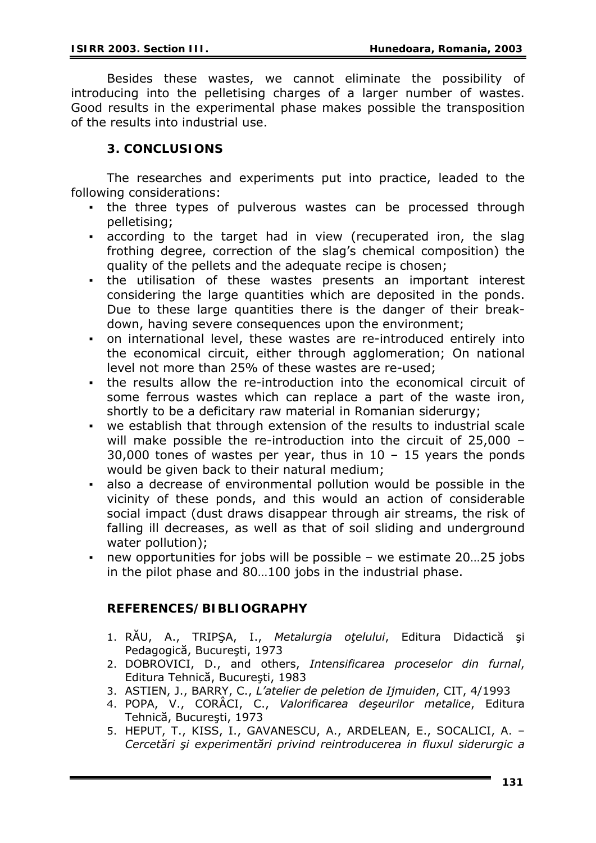Besides these wastes, we cannot eliminate the possibility of introducing into the pelletising charges of a larger number of wastes. Good results in the experimental phase makes possible the transposition of the results into industrial use.

### **3. CONCLUSIONS**

The researches and experiments put into practice, leaded to the following considerations:

- . the three types of pulverous wastes can be processed through pelletising;
- according to the target had in view (recuperated iron, the slag frothing degree, correction of the slag's chemical composition) the quality of the pellets and the adequate recipe is chosen;
- the utilisation of these wastes presents an important interest considering the large quantities which are deposited in the ponds. Due to these large quantities there is the danger of their breakdown, having severe consequences upon the environment;
- on international level, these wastes are re-introduced entirely into the economical circuit, either through agglomeration; On national level not more than 25% of these wastes are re-used;
- the results allow the re-introduction into the economical circuit of some ferrous wastes which can replace a part of the waste iron, shortly to be a deficitary raw material in Romanian siderurgy;
- we establish that through extension of the results to industrial scale will make possible the re-introduction into the circuit of 25,000 – 30,000 tones of wastes per year, thus in  $10 - 15$  years the ponds would be given back to their natural medium;
- also a decrease of environmental pollution would be possible in the vicinity of these ponds, and this would an action of considerable social impact (dust draws disappear through air streams, the risk of falling ill decreases, as well as that of soil sliding and underground water pollution);
- new opportunities for jobs will be possible we estimate 20…25 jobs in the pilot phase and 80…100 jobs in the industrial phase.

## **REFERENCES/BIBLIOGRAPHY**

- 1. RĂU, A., TRIPŞA, I., *Metalurgia oţelului*, Editura Didactică şi Pedagogică, Bucureşti, 1973
- 2. DOBROVICI, D., and others, *Intensificarea proceselor din furnal*, Editura Tehnică, Bucureşti, 1983
- 3. ASTIEN, J., BARRY, C., *L'atelier de peletion de Ijmuiden*, CIT, 4/1993
- 4. POPA, V., CORÂCI, C., *Valorificarea deşeurilor metalice*, Editura Tehnică, Bucureşti, 1973
- 5. HEPUT, T., KISS, I., GAVANESCU, A., ARDELEAN, E., SOCALICI, A. *Cercetări şi experimentări privind reintroducerea in fluxul siderurgic a*